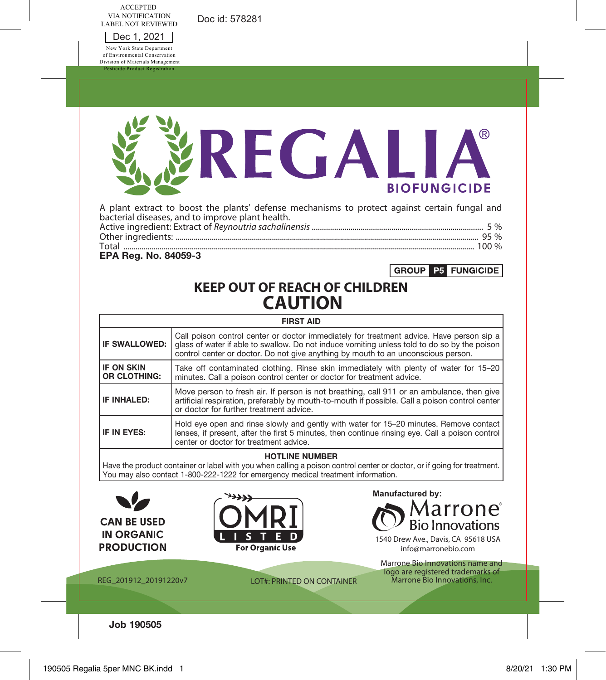Doc id: 578281

ACCEPTED VIA NOTIFICATION LABEL NOT REVIEWED

Dec 1, 2021 New York State Department of Environmental Conservation Division of Materials Management Product Regis

|                                   | REGALIA<br><b>BIOFUNGICIDE</b>                                                                                                                                                                                                                                                |  |  |  |  |  |
|-----------------------------------|-------------------------------------------------------------------------------------------------------------------------------------------------------------------------------------------------------------------------------------------------------------------------------|--|--|--|--|--|
| EPA Reg. No. 84059-3              | A plant extract to boost the plants' defense mechanisms to protect against certain fungal and<br>bacterial diseases, and to improve plant health.<br>GROUP P5 FUNGICIDE                                                                                                       |  |  |  |  |  |
|                                   | <b>KEEP OUT OF REACH OF CHILDREN</b><br><b>CAUTION</b>                                                                                                                                                                                                                        |  |  |  |  |  |
|                                   | <b>FIRST AID</b>                                                                                                                                                                                                                                                              |  |  |  |  |  |
| IF SWALLOWED:                     | Call poison control center or doctor immediately for treatment advice. Have person sip a<br>glass of water if able to swallow. Do not induce vomiting unless told to do so by the poison<br>control center or doctor. Do not give anything by mouth to an unconscious person. |  |  |  |  |  |
| <b>IF ON SKIN</b><br>OR CLOTHING: | Take off contaminated clothing. Rinse skin immediately with plenty of water for 15-20<br>minutes. Call a poison control center or doctor for treatment advice.                                                                                                                |  |  |  |  |  |
| IF INHALED:                       | Move person to fresh air. If person is not breathing, call 911 or an ambulance, then give<br>artificial respiration, preferably by mouth-to-mouth if possible. Call a poison control center<br>or doctor for further treatment advice.                                        |  |  |  |  |  |
| IF IN EYES:                       | Hold eye open and rinse slowly and gently with water for 15-20 minutes. Remove contact<br>lenses, if present, after the first 5 minutes, then continue rinsing eye. Call a poison control<br>center or doctor for treatment advice.                                           |  |  |  |  |  |
|                                   | <b>HOTLINE NUMBER</b><br>Have the product container or label with you when calling a poison control center or doctor, or if going for treatment.<br>You may also contact 1-800-222-1222 for emergency medical treatment information.                                          |  |  |  |  |  |
|                                   | Manufactured by:<br>larrone°                                                                                                                                                                                                                                                  |  |  |  |  |  |

**CAN BE USED IN ORGANIC PRODUCTION** 



 $\mathbb{O}$  Bio Innovations

1540 Drew Ave., Davis, CA 95618 USA info@marronebio.com

REG\_201912\_20191220v7 LOT#: PRINTED ON CONTAINER

Marrone Bio Innovations name and logo are registered trademarks of Marrone Bio Innovations, Inc.

**Job 190505**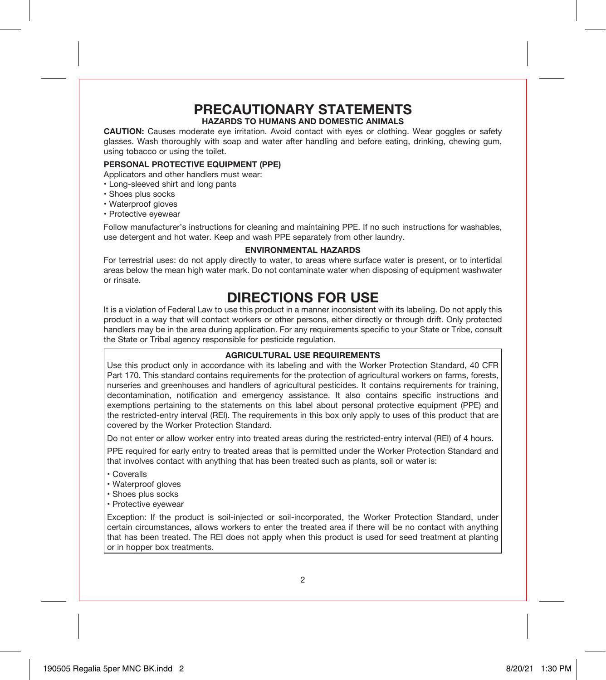# **PRECAUTIONARY STATEMENTS HAZARDS TO HUMANS AND DOMESTIC ANIMALS**

**CAUTION:** Causes moderate eye irritation. Avoid contact with eyes or clothing. Wear goggles or safety glasses. Wash thoroughly with soap and water after handling and before eating, drinking, chewing gum, using tobacco or using the toilet.

#### **PERSONAL PROTECTIVE EQUIPMENT (PPE)**

Applicators and other handlers must wear:

- Long-sleeved shirt and long pants
- Shoes plus socks
- Waterproof gloves
- Protective eyewear

Follow manufacturer's instructions for cleaning and maintaining PPE. If no such instructions for washables, use detergent and hot water. Keep and wash PPE separately from other laundry.

#### **ENVIRONMENTAL HAZARDS**

For terrestrial uses: do not apply directly to water, to areas where surface water is present, or to intertidal areas below the mean high water mark. Do not contaminate water when disposing of equipment washwater or rinsate.

# **DIRECTIONS FOR USE**

It is a violation of Federal Law to use this product in a manner inconsistent with its labeling. Do not apply this product in a way that will contact workers or other persons, either directly or through drift. Only protected handlers may be in the area during application. For any requirements specific to your State or Tribe, consult the State or Tribal agency responsible for pesticide regulation.

#### **AGRICULTURAL USE REQUIREMENTS**

Use this product only in accordance with its labeling and with the Worker Protection Standard, 40 CFR Part 170. This standard contains requirements for the protection of agricultural workers on farms, forests, nurseries and greenhouses and handlers of agricultural pesticides. It contains requirements for training, decontamination, notification and emergency assistance. It also contains specific instructions and exemptions pertaining to the statements on this label about personal protective equipment (PPE) and the restricted-entry interval (REI). The requirements in this box only apply to uses of this product that are covered by the Worker Protection Standard.

Do not enter or allow worker entry into treated areas during the restricted-entry interval (REI) of 4 hours.

PPE required for early entry to treated areas that is permitted under the Worker Protection Standard and that involves contact with anything that has been treated such as plants, soil or water is:

- Coveralls
- Waterproof gloves
- Shoes plus socks
- Protective eyewear

Exception: If the product is soil-injected or soil-incorporated, the Worker Protection Standard, under certain circumstances, allows workers to enter the treated area if there will be no contact with anything that has been treated. The REI does not apply when this product is used for seed treatment at planting or in hopper box treatments.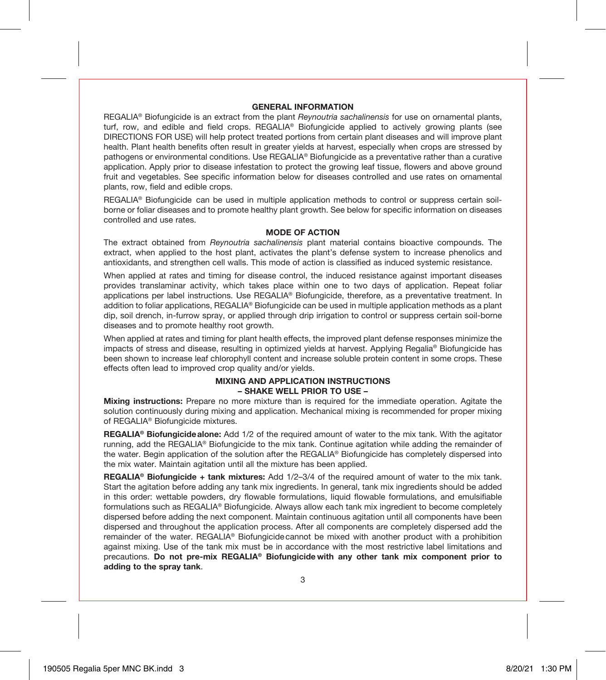#### **GENERAL INFORMATION**

REGALIA® Biofungicide is an extract from the plant *Reynoutria sachalinensis* for use on ornamental plants, turf, row, and edible and field crops. REGALIA® Biofungicide applied to actively growing plants (see DIRECTIONS FOR USE) will help protect treated portions from certain plant diseases and will improve plant health. Plant health benefits often result in greater yields at harvest, especially when crops are stressed by pathogens or environmental conditions. Use REGALIA® Biofungicide as a preventative rather than a curative application. Apply prior to disease infestation to protect the growing leaf tissue, flowers and above ground fruit and vegetables. See specific information below for diseases controlled and use rates on ornamental plants, row, field and edible crops.

REGALIA® Biofungicide can be used in multiple application methods to control or suppress certain soilborne or foliar diseases and to promote healthy plant growth. See below for specific information on diseases controlled and use rates.

#### **MODE OF ACTION**

The extract obtained from *Reynoutria sachalinensis* plant material contains bioactive compounds. The extract, when applied to the host plant, activates the plant's defense system to increase phenolics and antioxidants, and strengthen cell walls. This mode of action is classified as induced systemic resistance.

When applied at rates and timing for disease control, the induced resistance against important diseases provides translaminar activity, which takes place within one to two days of application. Repeat foliar applications per label instructions. Use REGALIA® Biofungicide, therefore, as a preventative treatment. In addition to foliar applications, REGALIA® Biofungicide can be used in multiple application methods as a plant dip, soil drench, in-furrow spray, or applied through drip irrigation to control or suppress certain soil-borne diseases and to promote healthy root growth.

When applied at rates and timing for plant health effects, the improved plant defense responses minimize the impacts of stress and disease, resulting in optimized yields at harvest. Applying Regalia® Biofungicide has been shown to increase leaf chlorophyll content and increase soluble protein content in some crops. These effects often lead to improved crop quality and/or yields.

#### **MIXING AND APPLICATION INSTRUCTIONS – SHAKE WELL PRIOR TO USE –**

**Mixing instructions:** Prepare no more mixture than is required for the immediate operation. Agitate the solution continuously during mixing and application. Mechanical mixing is recommended for proper mixing of REGALIA® Biofungicide mixtures.

**REGALIA® Biofungicidealone:** Add 1/2 of the required amount of water to the mix tank. With the agitator running, add the REGALIA® Biofungicide to the mix tank. Continue agitation while adding the remainder of the water. Begin application of the solution after the REGALIA® Biofungicide has completely dispersed into the mix water. Maintain agitation until all the mixture has been applied.

**REGALIA® Biofungicide + tank mixtures:** Add 1/2–3/4 of the required amount of water to the mix tank. Start the agitation before adding any tank mix ingredients. In general, tank mix ingredients should be added in this order: wettable powders, dry flowable formulations, liquid flowable formulations, and emulsifiable formulations such as REGALIA® Biofungicide. Always allow each tank mix ingredient to become completely dispersed before adding the next component. Maintain continuous agitation until all components have been dispersed and throughout the application process. After all components are completely dispersed add the remainder of the water. REGALIA® Biofungicide cannot be mixed with another product with a prohibition against mixing. Use of the tank mix must be in accordance with the most restrictive label limitations and precautions. **Do not pre-mix REGALIA® Biofungicide with any other tank mix component prior to adding to the spray tank**.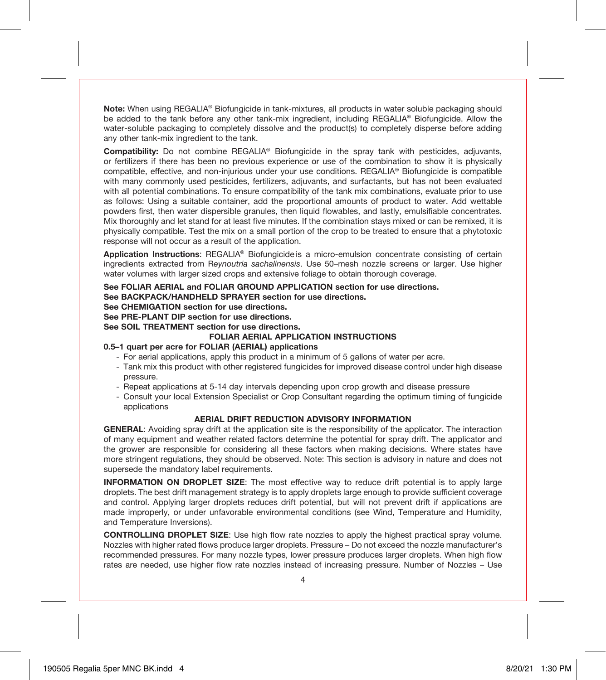**Note:** When using REGALIA® Biofungicide in tank-mixtures, all products in water soluble packaging should be added to the tank before any other tank-mix ingredient, including REGALIA® Biofungicide. Allow the water-soluble packaging to completely dissolve and the product(s) to completely disperse before adding any other tank-mix ingredient to the tank.

**Compatibility:** Do not combine REGALIA<sup>®</sup> Biofungicide in the spray tank with pesticides, adjuvants, or fertilizers if there has been no previous experience or use of the combination to show it is physically compatible, effective, and non-injurious under your use conditions. REGALIA® Biofungicide is compatible with many commonly used pesticides, fertilizers, adjuvants, and surfactants, but has not been evaluated with all potential combinations. To ensure compatibility of the tank mix combinations, evaluate prior to use as follows: Using a suitable container, add the proportional amounts of product to water. Add wettable powders first, then water dispersible granules, then liquid flowables, and lastly, emulsifiable concentrates. Mix thoroughly and let stand for at least five minutes. If the combination stays mixed or can be remixed, it is physically compatible. Test the mix on a small portion of the crop to be treated to ensure that a phytotoxic response will not occur as a result of the application.

**Application Instructions**: REGALIA® Biofungicide is a micro-emulsion concentrate consisting of certain ingredients extracted from R*eynoutria sachalinensis*. Use 50–mesh nozzle screens or larger. Use higher water volumes with larger sized crops and extensive foliage to obtain thorough coverage.

#### **See FOLIAR AERIAL and FOLIAR GROUND APPLICATION section for use directions. See BACKPACK/HANDHELD SPRAYER section for use directions. See CHEMIGATION section for use directions.**

**See PRE-PLANT DIP section for use directions.**

**See SOIL TREATMENT section for use directions.**

#### **FOLIAR AERIAL APPLICATION INSTRUCTIONS**

#### **0.5–1 quart per acre for FOLIAR (AERIAL) applications**

- For aerial applications, apply this product in a minimum of 5 gallons of water per acre.
- Tank mix this product with other registered fungicides for improved disease control under high disease pressure.
- Repeat applications at 5-14 day intervals depending upon crop growth and disease pressure
- Consult your local Extension Specialist or Crop Consultant regarding the optimum timing of fungicide applications

#### **AERIAL DRIFT REDUCTION ADVISORY INFORMATION**

**GENERAL**: Avoiding spray drift at the application site is the responsibility of the applicator. The interaction of many equipment and weather related factors determine the potential for spray drift. The applicator and the grower are responsible for considering all these factors when making decisions. Where states have more stringent regulations, they should be observed. Note: This section is advisory in nature and does not supersede the mandatory label requirements.

**INFORMATION ON DROPLET SIZE:** The most effective way to reduce drift potential is to apply large droplets. The best drift management strategy is to apply droplets large enough to provide sufficient coverage and control. Applying larger droplets reduces drift potential, but will not prevent drift if applications are made improperly, or under unfavorable environmental conditions (see Wind, Temperature and Humidity, and Temperature Inversions).

**CONTROLLING DROPLET SIZE**: Use high flow rate nozzles to apply the highest practical spray volume. Nozzles with higher rated flows produce larger droplets. Pressure – Do not exceed the nozzle manufacturer's recommended pressures. For many nozzle types, lower pressure produces larger droplets. When high flow rates are needed, use higher flow rate nozzles instead of increasing pressure. Number of Nozzles – Use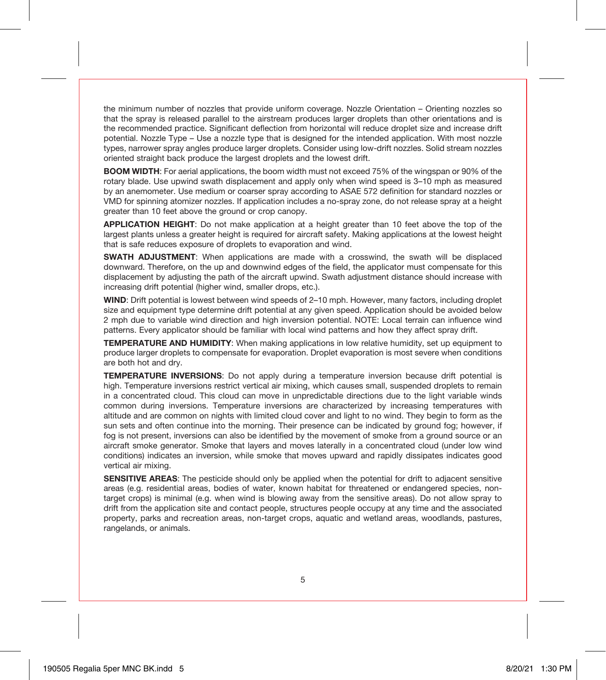the minimum number of nozzles that provide uniform coverage. Nozzle Orientation – Orienting nozzles so that the spray is released parallel to the airstream produces larger droplets than other orientations and is the recommended practice. Significant deflection from horizontal will reduce droplet size and increase drift potential. Nozzle Type – Use a nozzle type that is designed for the intended application. With most nozzle types, narrower spray angles produce larger droplets. Consider using low-drift nozzles. Solid stream nozzles oriented straight back produce the largest droplets and the lowest drift.

**BOOM WIDTH:** For aerial applications, the boom width must not exceed 75% of the wingspan or 90% of the rotary blade. Use upwind swath displacement and apply only when wind speed is 3–10 mph as measured by an anemometer. Use medium or coarser spray according to ASAE 572 definition for standard nozzles or VMD for spinning atomizer nozzles. If application includes a no-spray zone, do not release spray at a height greater than 10 feet above the ground or crop canopy.

**APPLICATION HEIGHT**: Do not make application at a height greater than 10 feet above the top of the largest plants unless a greater height is required for aircraft safety. Making applications at the lowest height that is safe reduces exposure of droplets to evaporation and wind.

**SWATH ADJUSTMENT**: When applications are made with a crosswind, the swath will be displaced downward. Therefore, on the up and downwind edges of the field, the applicator must compensate for this displacement by adjusting the path of the aircraft upwind. Swath adjustment distance should increase with increasing drift potential (higher wind, smaller drops, etc.).

**WIND**: Drift potential is lowest between wind speeds of 2–10 mph. However, many factors, including droplet size and equipment type determine drift potential at any given speed. Application should be avoided below 2 mph due to variable wind direction and high inversion potential. NOTE: Local terrain can influence wind patterns. Every applicator should be familiar with local wind patterns and how they affect spray drift.

**TEMPERATURE AND HUMIDITY**: When making applications in low relative humidity, set up equipment to produce larger droplets to compensate for evaporation. Droplet evaporation is most severe when conditions are both hot and dry.

**TEMPERATURE INVERSIONS**: Do not apply during a temperature inversion because drift potential is high. Temperature inversions restrict vertical air mixing, which causes small, suspended droplets to remain in a concentrated cloud. This cloud can move in unpredictable directions due to the light variable winds common during inversions. Temperature inversions are characterized by increasing temperatures with altitude and are common on nights with limited cloud cover and light to no wind. They begin to form as the sun sets and often continue into the morning. Their presence can be indicated by ground fog; however, if fog is not present, inversions can also be identified by the movement of smoke from a ground source or an aircraft smoke generator. Smoke that layers and moves laterally in a concentrated cloud (under low wind conditions) indicates an inversion, while smoke that moves upward and rapidly dissipates indicates good vertical air mixing.

**SENSITIVE AREAS:** The pesticide should only be applied when the potential for drift to adjacent sensitive areas (e.g. residential areas, bodies of water, known habitat for threatened or endangered species, nontarget crops) is minimal (e.g. when wind is blowing away from the sensitive areas). Do not allow spray to drift from the application site and contact people, structures people occupy at any time and the associated property, parks and recreation areas, non-target crops, aquatic and wetland areas, woodlands, pastures, rangelands, or animals.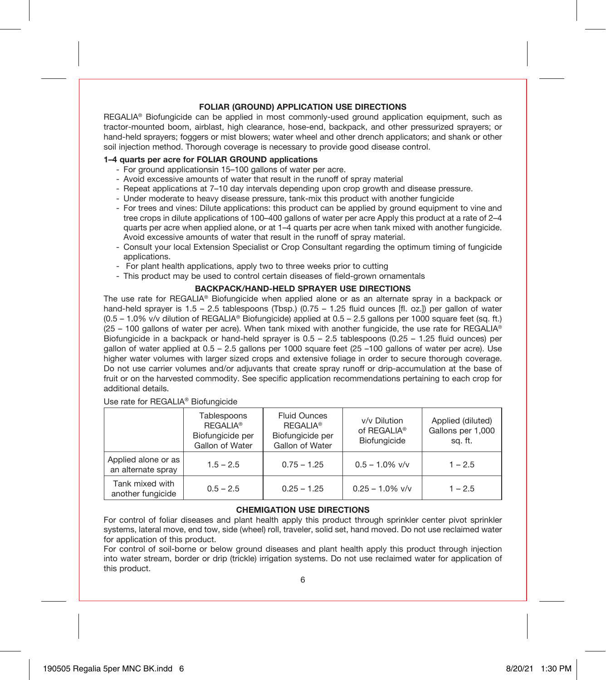#### **FOLIAR (GROUND) APPLICATION USE DIRECTIONS**

REGALIA<sup>®</sup> Biofungicide can be applied in most commonly-used ground application equipment, such as tractor-mounted boom, airblast, high clearance, hose-end, backpack, and other pressurized sprayers; or hand-held sprayers; foggers or mist blowers; water wheel and other drench applicators; and shank or other soil injection method. Thorough coverage is necessary to provide good disease control.

#### **1–4 quarts per acre for FOLIAR GROUND applications**

- For ground applicationsin 15–100 gallons of water per acre.
- Avoid excessive amounts of water that result in the runoff of spray material
- Repeat applications at 7–10 day intervals depending upon crop growth and disease pressure.
- Under moderate to heavy disease pressure, tank-mix this product with another fungicide
- For trees and vines: Dilute applications: this product can be applied by ground equipment to vine and tree crops in dilute applications of 100–400 gallons of water per acre Apply this product at a rate of 2–4 quarts per acre when applied alone, or at 1–4 quarts per acre when tank mixed with another fungicide. Avoid excessive amounts of water that result in the runoff of spray material.
- Consult your local Extension Specialist or Crop Consultant regarding the optimum timing of fungicide applications.
- For plant health applications, apply two to three weeks prior to cutting
- This product may be used to control certain diseases of field-grown ornamentals

#### **BACKPACK/HAND-HELD SPRAYER USE DIRECTIONS**

The use rate for REGALIA® Biofungicide when applied alone or as an alternate spray in a backpack or hand-held sprayer is 1.5 – 2.5 tablespoons (Tbsp.) (0.75 – 1.25 fluid ounces [fl. oz.]) per gallon of water (0.5 – 1.0% v/v dilution of REGALIA® Biofungicide) applied at 0.5 – 2.5 gallons per 1000 square feet (sq. ft.)  $(25 - 100)$  gallons of water per acre). When tank mixed with another fungicide, the use rate for REGALIA<sup>®</sup> Biofungicide in a backpack or hand-held sprayer is 0.5 – 2.5 tablespoons (0.25 – 1.25 fluid ounces) per gallon of water applied at 0.5 – 2.5 gallons per 1000 square feet (25 –100 gallons of water per acre). Use higher water volumes with larger sized crops and extensive foliage in order to secure thorough coverage. Do not use carrier volumes and/or adjuvants that create spray runoff or drip-accumulation at the base of fruit or on the harvested commodity. See specific application recommendations pertaining to each crop for additional details.

Use rate for REGALIA® Biofungicide

|                                           | Tablespoons<br><b>REGALIA®</b><br>Biofungicide per<br>Gallon of Water | <b>Fluid Ounces</b><br><b>REGALIA®</b><br>Biofungicide per<br>Gallon of Water | v/v Dilution<br>of REGALIA <sup>®</sup><br>Biofungicide | Applied (diluted)<br>Gallons per 1,000<br>sa. ft. |
|-------------------------------------------|-----------------------------------------------------------------------|-------------------------------------------------------------------------------|---------------------------------------------------------|---------------------------------------------------|
| Applied alone or as<br>an alternate spray | $1.5 - 2.5$                                                           | $0.75 - 1.25$                                                                 | $0.5 - 1.0\%$ v/v                                       | $1 - 2.5$                                         |
| Tank mixed with<br>another fungicide      | $0.5 - 2.5$                                                           | $0.25 - 1.25$                                                                 | $0.25 - 1.0\%$ v/v                                      | $1 - 2.5$                                         |

#### **CHEMIGATION USE DIRECTIONS**

For control of foliar diseases and plant health apply this product through sprinkler center pivot sprinkler systems, lateral move, end tow, side (wheel) roll, traveler, solid set, hand moved. Do not use reclaimed water for application of this product.

For control of soil-borne or below ground diseases and plant health apply this product through injection into water stream, border or drip (trickle) irrigation systems. Do not use reclaimed water for application of this product.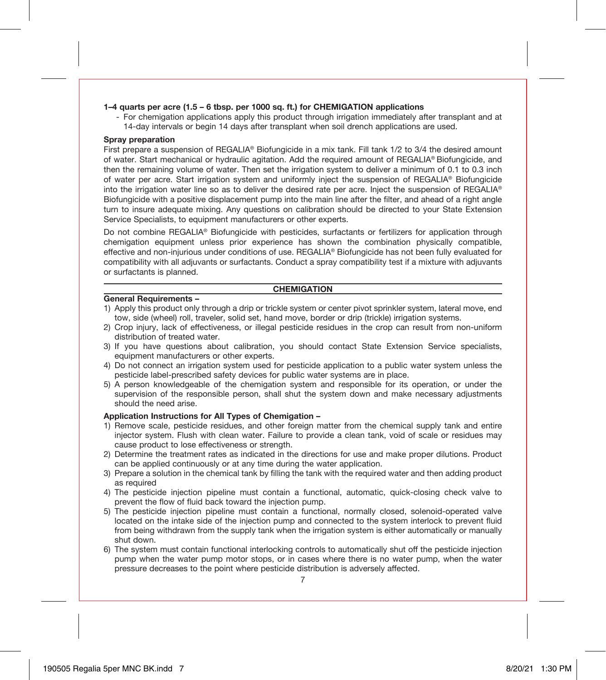#### **1–4 quarts per acre (1.5 – 6 tbsp. per 1000 sq. ft.) for CHEMIGATION applications**

- For chemigation applications apply this product through irrigation immediately after transplant and at 14-day intervals or begin 14 days after transplant when soil drench applications are used.

#### **Spray preparation**

First prepare a suspension of REGALIA® Biofungicide in a mix tank. Fill tank 1/2 to 3/4 the desired amount of water. Start mechanical or hydraulic agitation. Add the required amount of REGALIA® Biofungicide, and then the remaining volume of water. Then set the irrigation system to deliver a minimum of 0.1 to 0.3 inch of water per acre. Start irrigation system and uniformly inject the suspension of REGALIA® Biofungicide into the irrigation water line so as to deliver the desired rate per acre. Inject the suspension of REGALIA® Biofungicide with a positive displacement pump into the main line after the filter, and ahead of a right angle turn to insure adequate mixing. Any questions on calibration should be directed to your State Extension Service Specialists, to equipment manufacturers or other experts.

Do not combine REGALIA® Biofungicide with pesticides, surfactants or fertilizers for application through chemigation equipment unless prior experience has shown the combination physically compatible, effective and non-injurious under conditions of use. REGALIA® Biofungicide has not been fully evaluated for compatibility with all adjuvants or surfactants. Conduct a spray compatibility test if a mixture with adjuvants or surfactants is planned.

#### **CHEMIGATION**

#### **General Requirements –**

- 1) Apply this product only through a drip or trickle system or center pivot sprinkler system, lateral move, end tow, side (wheel) roll, traveler, solid set, hand move, border or drip (trickle) irrigation systems.
- 2) Crop injury, lack of effectiveness, or illegal pesticide residues in the crop can result from non-uniform distribution of treated water.
- 3) If you have questions about calibration, you should contact State Extension Service specialists, equipment manufacturers or other experts.
- 4) Do not connect an irrigation system used for pesticide application to a public water system unless the pesticide label-prescribed safety devices for public water systems are in place.
- 5) A person knowledgeable of the chemigation system and responsible for its operation, or under the supervision of the responsible person, shall shut the system down and make necessary adjustments should the need arise.

#### **Application Instructions for All Types of Chemigation –**

- 1) Remove scale, pesticide residues, and other foreign matter from the chemical supply tank and entire injector system. Flush with clean water. Failure to provide a clean tank, void of scale or residues may cause product to lose effectiveness or strength.
- 2) Determine the treatment rates as indicated in the directions for use and make proper dilutions. Product can be applied continuously or at any time during the water application.
- 3) Prepare a solution in the chemical tank by filling the tank with the required water and then adding product as required
- 4) The pesticide injection pipeline must contain a functional, automatic, quick-closing check valve to prevent the flow of fluid back toward the injection pump.
- 5) The pesticide injection pipeline must contain a functional, normally closed, solenoid-operated valve located on the intake side of the injection pump and connected to the system interlock to prevent fluid from being withdrawn from the supply tank when the irrigation system is either automatically or manually shut down.
- 6) The system must contain functional interlocking controls to automatically shut off the pesticide injection pump when the water pump motor stops, or in cases where there is no water pump, when the water pressure decreases to the point where pesticide distribution is adversely affected.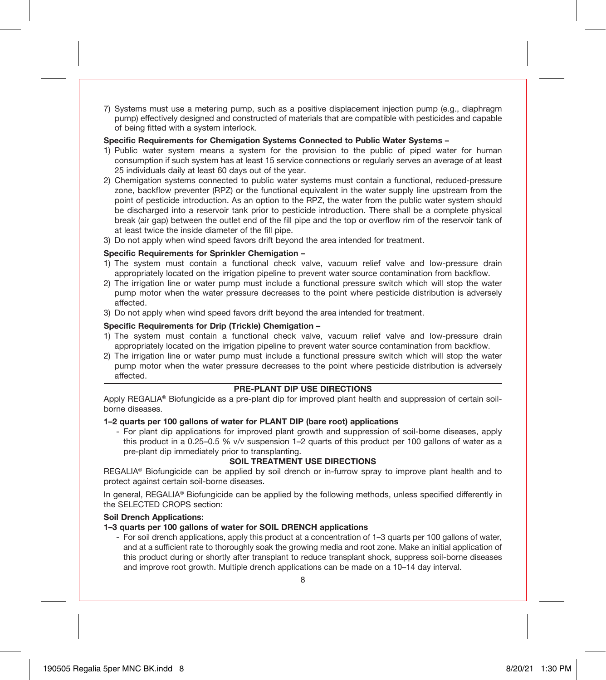7) Systems must use a metering pump, such as a positive displacement injection pump (e.g., diaphragm pump) effectively designed and constructed of materials that are compatible with pesticides and capable of being fitted with a system interlock.

#### **Specific Requirements for Chemigation Systems Connected to Public Water Systems –**

- 1) Public water system means a system for the provision to the public of piped water for human consumption if such system has at least 15 service connections or regularly serves an average of at least 25 individuals daily at least 60 days out of the year.
- 2) Chemigation systems connected to public water systems must contain a functional, reduced-pressure zone, backflow preventer (RPZ) or the functional equivalent in the water supply line upstream from the point of pesticide introduction. As an option to the RPZ, the water from the public water system should be discharged into a reservoir tank prior to pesticide introduction. There shall be a complete physical break (air gap) between the outlet end of the fill pipe and the top or overflow rim of the reservoir tank of at least twice the inside diameter of the fill pipe.
- 3) Do not apply when wind speed favors drift beyond the area intended for treatment.

#### **Specific Requirements for Sprinkler Chemigation –**

- 1) The system must contain a functional check valve, vacuum relief valve and low-pressure drain appropriately located on the irrigation pipeline to prevent water source contamination from backflow.
- 2) The irrigation line or water pump must include a functional pressure switch which will stop the water pump motor when the water pressure decreases to the point where pesticide distribution is adversely affected.
- 3) Do not apply when wind speed favors drift beyond the area intended for treatment.

#### **Specific Requirements for Drip (Trickle) Chemigation –**

- 1) The system must contain a functional check valve, vacuum relief valve and low-pressure drain appropriately located on the irrigation pipeline to prevent water source contamination from backflow.
- 2) The irrigation line or water pump must include a functional pressure switch which will stop the water pump motor when the water pressure decreases to the point where pesticide distribution is adversely affected.

#### **PRE-PLANT DIP USE DIRECTIONS**

Apply REGALIA® Biofungicide as a pre-plant dip for improved plant health and suppression of certain soilborne diseases.

#### **1–2 quarts per 100 gallons of water for PLANT DIP (bare root) applications**

- For plant dip applications for improved plant growth and suppression of soil-borne diseases, apply this product in a 0.25–0.5 % v/v suspension 1–2 quarts of this product per 100 gallons of water as a pre-plant dip immediately prior to transplanting.

#### **SOIL TREATMENT USE DIRECTIONS**

REGALIA® Biofungicide can be applied by soil drench or in-furrow spray to improve plant health and to protect against certain soil-borne diseases.

In general, REGALIA® Biofungicide can be applied by the following methods, unless specified differently in the SELECTED CROPS section:

#### **Soil Drench Applications:**

#### **1–3 quarts per 100 gallons of water for SOIL DRENCH applications**

- For soil drench applications, apply this product at a concentration of 1–3 quarts per 100 gallons of water, and at a sufficient rate to thoroughly soak the growing media and root zone. Make an initial application of this product during or shortly after transplant to reduce transplant shock, suppress soil-borne diseases and improve root growth. Multiple drench applications can be made on a 10–14 day interval.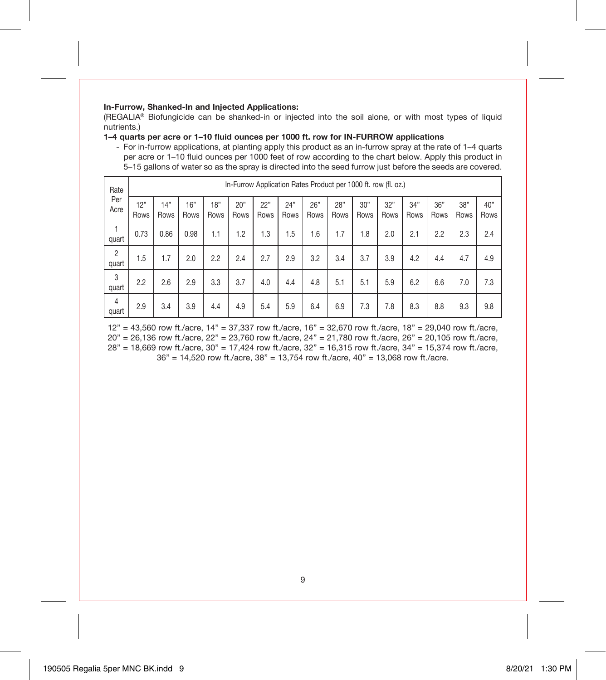#### **In-Furrow, Shanked-In and Injected Applications:**

(REGALIA® Biofungicide can be shanked-in or injected into the soil alone, or with most types of liquid nutrients.)

**1–4 quarts per acre or 1–10 fluid ounces per 1000 ft. row for IN-FURROW applications**

- For in-furrow applications, at planting apply this product as an in-furrow spray at the rate of 1–4 quarts per acre or 1–10 fluid ounces per 1000 feet of row according to the chart below. Apply this product in 5–15 gallons of water so as the spray is directed into the seed furrow just before the seeds are covered.

| Rate                    | In-Furrow Application Rates Product per 1000 ft. row (fl. oz.) |             |             |             |             |             |             |             |             |             |             |             |             |             |             |
|-------------------------|----------------------------------------------------------------|-------------|-------------|-------------|-------------|-------------|-------------|-------------|-------------|-------------|-------------|-------------|-------------|-------------|-------------|
| Per<br>Acre             | 12"<br>Rows                                                    | 14"<br>Rows | 16"<br>Rows | 18"<br>Rows | 20"<br>Rows | 22"<br>Rows | 24"<br>Rows | 26"<br>Rows | 28"<br>Rows | 30"<br>Rows | 32"<br>Rows | 34"<br>Rows | 36"<br>Rows | 38"<br>Rows | 40"<br>Rows |
| 1<br>quart              | 0.73                                                           | 0.86        | 0.98        | 1.1         | 1.2         | 1.3         | 1.5         | 1.6         | 1.7         | 1.8         | 2.0         | 2.1         | 2.2         | 2.3         | 2.4         |
| $\overline{2}$<br>quart | 1.5                                                            | 1.7         | 2.0         | 2.2         | 2.4         | 2.7         | 2.9         | 3.2         | 3.4         | 3.7         | 3.9         | 4.2         | 4.4         | 4.7         | 4.9         |
| 3<br>quart              | 2.2                                                            | 2.6         | 2.9         | 3.3         | 3.7         | 4.0         | 4.4         | 4.8         | 5.1         | 5.1         | 5.9         | 6.2         | 6.6         | 7.0         | 7.3         |
| 4<br>quart              | 2.9                                                            | 3.4         | 3.9         | 4.4         | 4.9         | 5.4         | 5.9         | 6.4         | 6.9         | 7.3         | 7.8         | 8.3         | 8.8         | 9.3         | 9.8         |

12" = 43,560 row ft./acre, 14" = 37,337 row ft./acre, 16" = 32,670 row ft./acre, 18" = 29,040 row ft./acre, 20" = 26,136 row ft./acre, 22" = 23,760 row ft./acre, 24" = 21,780 row ft./acre, 26" = 20,105 row ft./acre, 28" = 18,669 row ft./acre, 30" = 17,424 row ft./acre, 32" = 16,315 row ft./acre, 34" = 15,374 row ft./acre, 36" = 14,520 row ft./acre, 38" = 13,754 row ft./acre, 40" = 13,068 row ft./acre.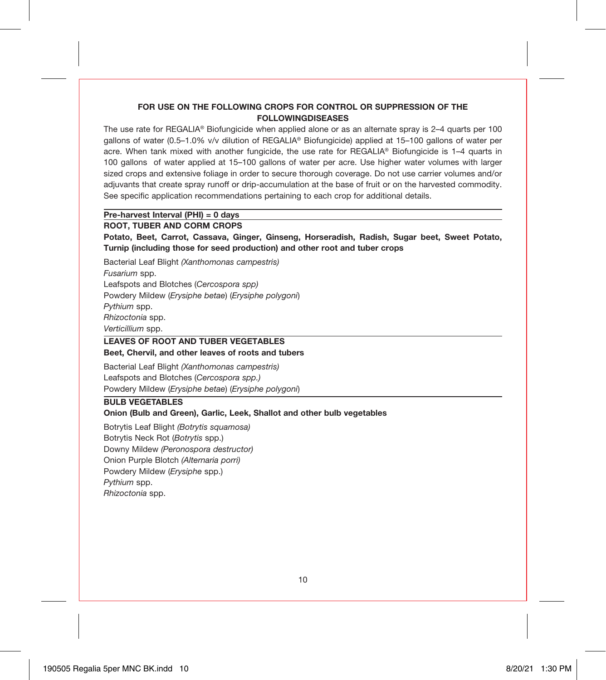#### **FOR USE ON THE FOLLOWING CROPS FOR CONTROL OR SUPPRESSION OF THE FOLLOWINGDISEASES**

The use rate for REGALIA® Biofungicide when applied alone or as an alternate spray is 2–4 quarts per 100 gallons of water (0.5–1.0% v/v dilution of REGALIA® Biofungicide) applied at 15–100 gallons of water per acre. When tank mixed with another fungicide, the use rate for REGALIA® Biofungicide is 1–4 quarts in 100 gallons of water applied at 15–100 gallons of water per acre. Use higher water volumes with larger sized crops and extensive foliage in order to secure thorough coverage. Do not use carrier volumes and/or adjuvants that create spray runoff or drip-accumulation at the base of fruit or on the harvested commodity. See specific application recommendations pertaining to each crop for additional details.

#### **Pre-harvest Interval (PHI) = 0 days**

#### **ROOT, TUBER AND CORM CROPS**

**Potato, Beet, Carrot, Cassava, Ginger, Ginseng, Horseradish, Radish, Sugar beet, Sweet Potato, Turnip (including those for seed production) and other root and tuber crops**

Bacterial Leaf Blight *(Xanthomonas campestris) Fusarium* spp. Leafspots and Blotches (*Cercospora spp)* Powdery Mildew (*Erysiphe betae*) (*Erysiphe polygoni*) *Pythium* spp. *Rhizoctonia* spp. *Verticillium* spp.

#### **LEAVES OF ROOT AND TUBER VEGETABLES Beet, Chervil, and other leaves of roots and tubers**

Bacterial Leaf Blight *(Xanthomonas campestris)* Leafspots and Blotches (*Cercospora spp.)* Powdery Mildew (*Erysiphe betae*) (*Erysiphe polygoni*)

#### **BULB VEGETABLES**

#### **Onion (Bulb and Green), Garlic, Leek, Shallot and other bulb vegetables**

Botrytis Leaf Blight *(Botrytis squamosa)* Botrytis Neck Rot (*Botrytis* spp.) Downy Mildew *(Peronospora destructor)* Onion Purple Blotch *(Alternaria porri)* Powdery Mildew (*Erysiphe* spp.) *Pythium* spp. *Rhizoctonia* spp.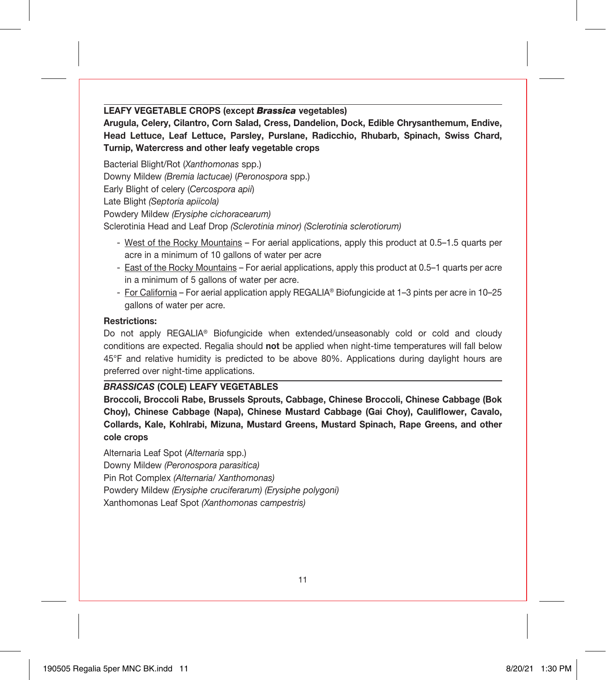**LEAFY VEGETABLE CROPS (except** *Brassica* **vegetables)**

**Arugula, Celery, Cilantro, Corn Salad, Cress, Dandelion, Dock, Edible Chrysanthemum, Endive, Head Lettuce, Leaf Lettuce, Parsley, Purslane, Radicchio, Rhubarb, Spinach, Swiss Chard, Turnip, Watercress and other leafy vegetable crops**

Bacterial Blight/Rot (*Xanthomonas* spp.) Downy Mildew *(Bremia lactucae)* (*Peronospora* spp.) Early Blight of celery (*Cercospora apii*) Late Blight *(Septoria apiicola)* Powdery Mildew *(Erysiphe cichoracearum)* Sclerotinia Head and Leaf Drop *(Sclerotinia minor) (Sclerotinia sclerotiorum)*

- West of the Rocky Mountains For aerial applications, apply this product at 0.5–1.5 quarts per acre in a minimum of 10 gallons of water per acre
- East of the Rocky Mountains For aerial applications, apply this product at 0.5–1 quarts per acre in a minimum of 5 gallons of water per acre.
- For California For aerial application apply REGALIA® Biofungicide at 1–3 pints per acre in 10–25 gallons of water per acre.

#### **Restrictions:**

Do not apply REGALIA<sup>®</sup> Biofungicide when extended/unseasonably cold or cold and cloudy conditions are expected. Regalia should **not** be applied when night-time temperatures will fall below 45°F and relative humidity is predicted to be above 80%. Applications during daylight hours are preferred over night-time applications.

# *BRASSICAS* **(COLE) LEAFY VEGETABLES**

**Broccoli, Broccoli Rabe, Brussels Sprouts, Cabbage, Chinese Broccoli, Chinese Cabbage (Bok Choy), Chinese Cabbage (Napa), Chinese Mustard Cabbage (Gai Choy), Cauliflower, Cavalo, Collards, Kale, Kohlrabi, Mizuna, Mustard Greens, Mustard Spinach, Rape Greens, and other cole crops**

Alternaria Leaf Spot (*Alternaria* spp.) Downy Mildew *(Peronospora parasitica)* Pin Rot Complex *(Alternaria/ Xanthomonas)* Powdery Mildew *(Erysiphe cruciferarum) (Erysiphe polygoni)* Xanthomonas Leaf Spot *(Xanthomonas campestris)*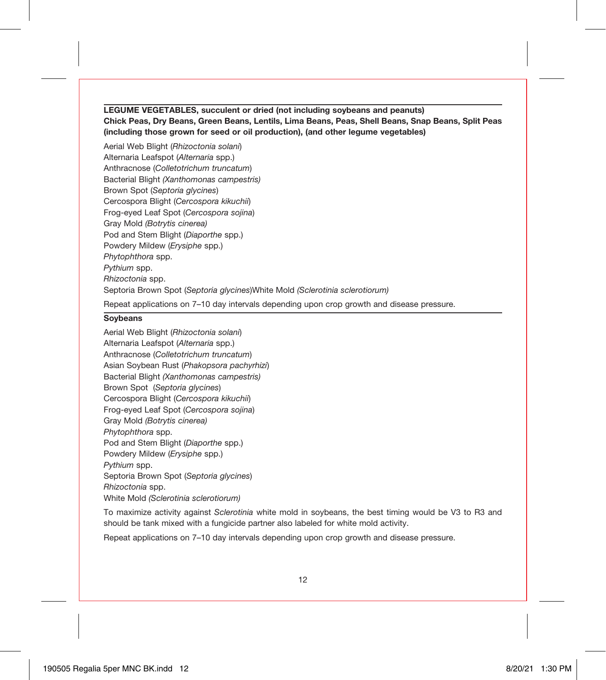#### **LEGUME VEGETABLES, succulent or dried (not including soybeans and peanuts) Chick Peas, Dry Beans, Green Beans, Lentils, Lima Beans, Peas, Shell Beans, Snap Beans, Split Peas (including those grown for seed or oil production), (and other legume vegetables)**

Aerial Web Blight (*Rhizoctonia solani*) Alternaria Leafspot (*Alternaria* spp.) Anthracnose (*Colletotrichum truncatum*) Bacterial Blight *(Xanthomonas campestris)* Brown Spot (*Septoria glycines*) Cercospora Blight (*Cercospora kikuchii*) Frog-eyed Leaf Spot (*Cercospora sojina*) Gray Mold *(Botrytis cinerea)* Pod and Stem Blight (*Diaporthe* spp.) Powdery Mildew (*Erysiphe* spp.) *Phytophthora* spp. *Pythium* spp. *Rhizoctonia* spp. Septoria Brown Spot (*Septoria glycines*)White Mold *(Sclerotinia sclerotiorum)* Repeat applications on 7–10 day intervals depending upon crop growth and disease pressure.

#### **Soybeans**

Aerial Web Blight (*Rhizoctonia solani*) Alternaria Leafspot (*Alternaria* spp.) Anthracnose (*Colletotrichum truncatum*) Asian Soybean Rust (*Phakopsora pachyrhizi*) Bacterial Blight *(Xanthomonas campestris)* Brown Spot (*Septoria glycines*) Cercospora Blight (*Cercospora kikuchii*) Frog-eyed Leaf Spot (*Cercospora sojina*) Gray Mold *(Botrytis cinerea) Phytophthora* spp. Pod and Stem Blight (*Diaporthe* spp.) Powdery Mildew (*Erysiphe* spp.) *Pythium* spp. Septoria Brown Spot (*Septoria glycines*) *Rhizoctonia* spp. White Mold *(Sclerotinia sclerotiorum)*

To maximize activity against *Sclerotinia* white mold in soybeans, the best timing would be V3 to R3 and should be tank mixed with a fungicide partner also labeled for white mold activity.

Repeat applications on 7–10 day intervals depending upon crop growth and disease pressure.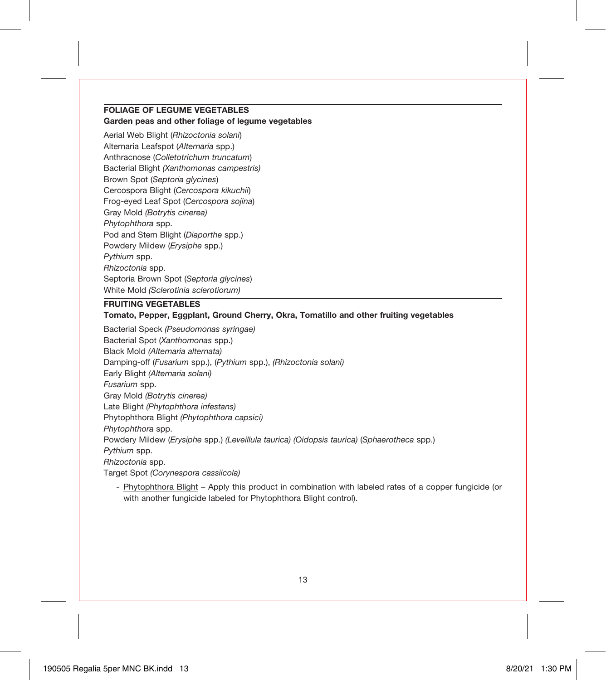#### **FOLIAGE OF LEGUME VEGETABLES Garden peas and other foliage of legume vegetables**

Aerial Web Blight (*Rhizoctonia solani*) Alternaria Leafspot (*Alternaria* spp.) Anthracnose (*Colletotrichum truncatum*) Bacterial Blight *(Xanthomonas campestris)* Brown Spot (*Septoria glycines*) Cercospora Blight (*Cercospora kikuchii*) Frog-eyed Leaf Spot (*Cercospora sojina*) Gray Mold *(Botrytis cinerea) Phytophthora* spp. Pod and Stem Blight (*Diaporthe* spp.) Powdery Mildew (*Erysiphe* spp.) *Pythium* spp. *Rhizoctonia* spp. Septoria Brown Spot (*Septoria glycines*) White Mold *(Sclerotinia sclerotiorum)*

### **FRUITING VEGETABLES**

#### **Tomato, Pepper, Eggplant, Ground Cherry, Okra, Tomatillo and other fruiting vegetables**

Bacterial Speck *(Pseudomonas syringae)* Bacterial Spot (*Xanthomonas* spp.) Black Mold *(Alternaria alternata)* Damping-off (*Fusarium* spp.), (*Pythium* spp.), *(Rhizoctonia solani)* Early Blight *(Alternaria solani) Fusarium* spp. Gray Mold *(Botrytis cinerea)* Late Blight *(Phytophthora infestans)* Phytophthora Blight *(Phytophthora capsici) Phytophthora* spp. Powdery Mildew (*Erysiphe* spp.) *(Leveillula taurica) (Oidopsis taurica)* (*Sphaerotheca* spp.) *Pythium* spp. *Rhizoctonia* spp. Target Spot *(Corynespora cassiicola)*

- Phytophthora Blight – Apply this product in combination with labeled rates of a copper fungicide (or with another fungicide labeled for Phytophthora Blight control).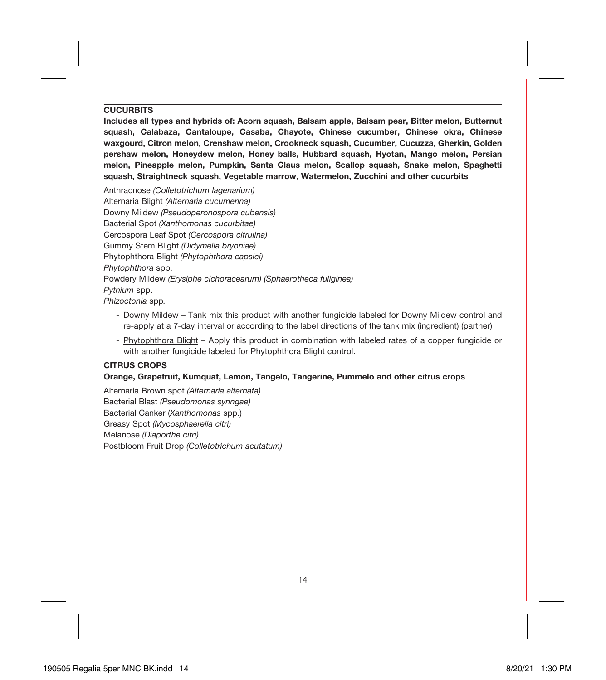#### **CUCURBITS**

**Includes all types and hybrids of: Acorn squash, Balsam apple, Balsam pear, Bitter melon, Butternut squash, Calabaza, Cantaloupe, Casaba, Chayote, Chinese cucumber, Chinese okra, Chinese waxgourd, Citron melon, Crenshaw melon, Crookneck squash, Cucumber, Cucuzza, Gherkin, Golden pershaw melon, Honeydew melon, Honey balls, Hubbard squash, Hyotan, Mango melon, Persian melon, Pineapple melon, Pumpkin, Santa Claus melon, Scallop squash, Snake melon, Spaghetti squash, Straightneck squash, Vegetable marrow, Watermelon, Zucchini and other cucurbits**

Anthracnose *(Colletotrichum lagenarium)* Alternaria Blight *(Alternaria cucumerina)* Downy Mildew *(Pseudoperonospora cubensis)* Bacterial Spot *(Xanthomonas cucurbitae)* Cercospora Leaf Spot *(Cercospora citrulina)* Gummy Stem Blight *(Didymella bryoniae)* Phytophthora Blight *(Phytophthora capsici) Phytophthora* spp. Powdery Mildew *(Erysiphe cichoracearum) (Sphaerotheca fuliginea) Pythium* spp. *Rhizoctonia* spp*.*

- Downy Mildew Tank mix this product with another fungicide labeled for Downy Mildew control and re-apply at a 7-day interval or according to the label directions of the tank mix (ingredient) (partner)
- Phytophthora Blight Apply this product in combination with labeled rates of a copper fungicide or with another fungicide labeled for Phytophthora Blight control.

#### **CITRUS CROPS**

#### **Orange, Grapefruit, Kumquat, Lemon, Tangelo, Tangerine, Pummelo and other citrus crops**

Alternaria Brown spot *(Alternaria alternata)* Bacterial Blast *(Pseudomonas syringae)* Bacterial Canker (*Xanthomonas* spp.) Greasy Spot *(Mycosphaerella citri)* Melanose *(Diaporthe citri)* Postbloom Fruit Drop *(Colletotrichum acutatum)*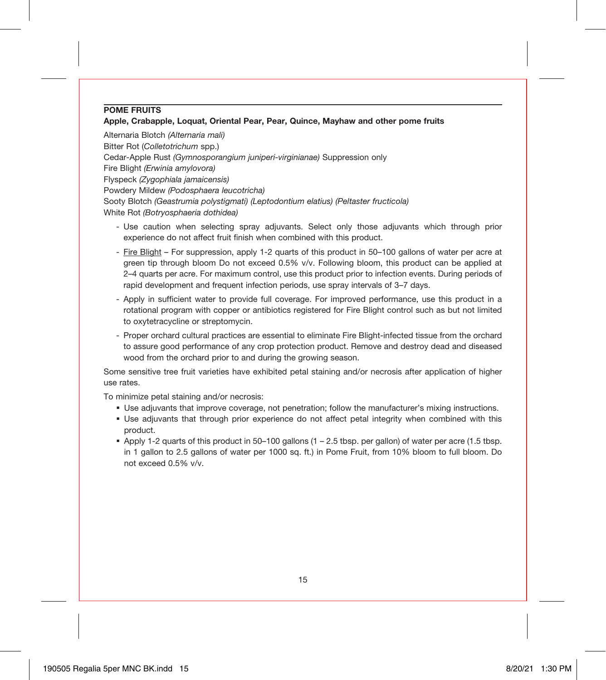#### **POME FRUITS**

#### **Apple, Crabapple, Loquat, Oriental Pear, Pear, Quince, Mayhaw and other pome fruits**

Alternaria Blotch *(Alternaria mali)* Bitter Rot (*Colletotrichum* spp.) Cedar-Apple Rust *(Gymnosporangium juniperi-virginianae)* Suppression only Fire Blight *(Erwinia amylovora)* Flyspeck *(Zygophiala jamaicensis)* Powdery Mildew *(Podosphaera leucotricha)* Sooty Blotch *(Geastrumia polystigmati) (Leptodontium elatius) (Peltaster fructicola)* White Rot *(Botryosphaeria dothidea)*

- Use caution when selecting spray adjuvants. Select only those adjuvants which through prior experience do not affect fruit finish when combined with this product.
- Fire Blight For suppression, apply 1-2 quarts of this product in 50–100 gallons of water per acre at green tip through bloom Do not exceed 0.5% v/v. Following bloom, this product can be applied at 2–4 quarts per acre. For maximum control, use this product prior to infection events. During periods of rapid development and frequent infection periods, use spray intervals of 3–7 days.
- Apply in sufficient water to provide full coverage. For improved performance, use this product in a rotational program with copper or antibiotics registered for Fire Blight control such as but not limited to oxytetracycline or streptomycin.
- Proper orchard cultural practices are essential to eliminate Fire Blight-infected tissue from the orchard to assure good performance of any crop protection product. Remove and destroy dead and diseased wood from the orchard prior to and during the growing season.

Some sensitive tree fruit varieties have exhibited petal staining and/or necrosis after application of higher use rates.

To minimize petal staining and/or necrosis:

- Use adjuvants that improve coverage, not penetration; follow the manufacturer's mixing instructions.
- Use adjuvants that through prior experience do not affect petal integrity when combined with this product.
- Apply 1-2 quarts of this product in 50–100 gallons (1 2.5 tbsp. per gallon) of water per acre (1.5 tbsp. in 1 gallon to 2.5 gallons of water per 1000 sq. ft.) in Pome Fruit, from 10% bloom to full bloom. Do not exceed 0.5% v/v.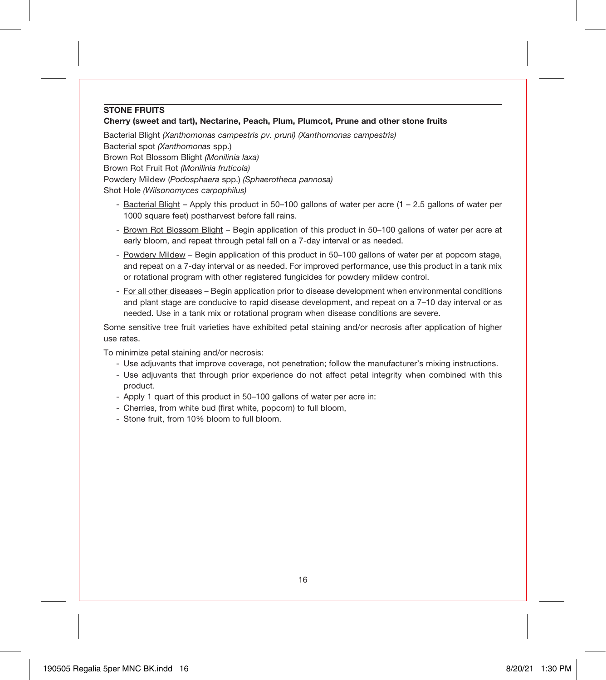#### **STONE FRUITS**

#### **Cherry (sweet and tart), Nectarine, Peach, Plum, Plumcot, Prune and other stone fruits**

Bacterial Blight *(Xanthomonas campestris pv. pruni) (Xanthomonas campestris)* Bacterial spot *(Xanthomonas* spp.) Brown Rot Blossom Blight *(Monilinia laxa)* Brown Rot Fruit Rot *(Monilinia fruticola)* Powdery Mildew (*Podosphaera* spp.) *(Sphaerotheca pannosa)* Shot Hole *(Wilsonomyces carpophilus)*

- Bacterial Blight Apply this product in 50–100 gallons of water per acre (1 2.5 gallons of water per 1000 square feet) postharvest before fall rains.
- Brown Rot Blossom Blight Begin application of this product in 50–100 gallons of water per acre at early bloom, and repeat through petal fall on a 7-day interval or as needed.
- Powdery Mildew Begin application of this product in 50–100 gallons of water per at popcorn stage, and repeat on a 7-day interval or as needed. For improved performance, use this product in a tank mix or rotational program with other registered fungicides for powdery mildew control.
- For all other diseases Begin application prior to disease development when environmental conditions and plant stage are conducive to rapid disease development, and repeat on a 7–10 day interval or as needed. Use in a tank mix or rotational program when disease conditions are severe.

Some sensitive tree fruit varieties have exhibited petal staining and/or necrosis after application of higher use rates.

To minimize petal staining and/or necrosis:

- Use adjuvants that improve coverage, not penetration; follow the manufacturer's mixing instructions.
- Use adjuvants that through prior experience do not affect petal integrity when combined with this product.
- Apply 1 quart of this product in 50–100 gallons of water per acre in:
- Cherries, from white bud (first white, popcorn) to full bloom,
- Stone fruit, from 10% bloom to full bloom.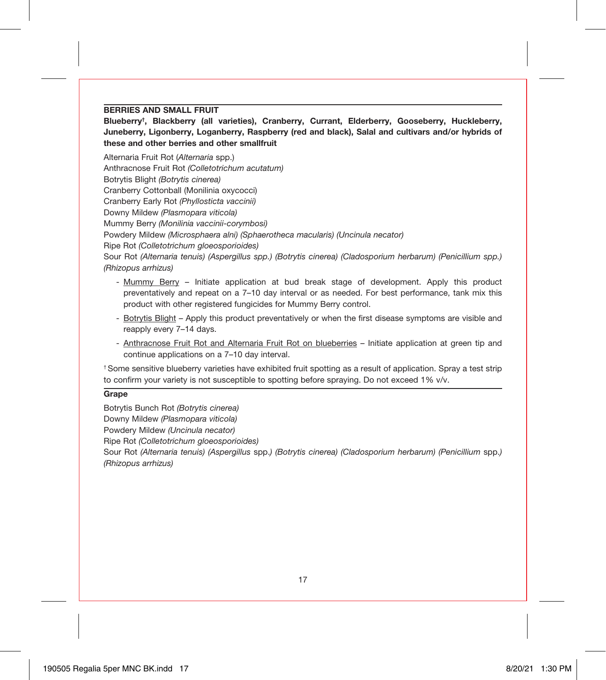### **BERRIES AND SMALL FRUIT**

**Blueberry† , Blackberry (all varieties), Cranberry, Currant, Elderberry, Gooseberry, Huckleberry, Juneberry, Ligonberry, Loganberry, Raspberry (red and black), Salal and cultivars and/or hybrids of these and other berries and other smallfruit**

Alternaria Fruit Rot (*Alternaria* spp.) Anthracnose Fruit Rot *(Colletotrichum acutatum)* Botrytis Blight *(Botrytis cinerea)* Cranberry Cottonball (Monilinia oxycocci) Cranberry Early Rot *(Phyllosticta vaccinii)* Downy Mildew *(Plasmopara viticola)* Mummy Berry *(Monilinia vaccinii-corymbosi)* Powdery Mildew *(Microsphaera alni) (Sphaerotheca macularis) (Uncinula necator)*

Ripe Rot *(Colletotrichum gloeosporioides)*

Sour Rot *(Alternaria tenuis) (Aspergillus spp.) (Botrytis cinerea) (Cladosporium herbarum) (Penicillium spp.) (Rhizopus arrhizus)*

- Mummy Berry Initiate application at bud break stage of development. Apply this product preventatively and repeat on a 7–10 day interval or as needed. For best performance, tank mix this product with other registered fungicides for Mummy Berry control.
- Botrytis Blight Apply this product preventatively or when the first disease symptoms are visible and reapply every 7–14 days.
- Anthracnose Fruit Rot and Alternaria Fruit Rot on blueberries Initiate application at green tip and continue applications on a 7–10 day interval.

† Some sensitive blueberry varieties have exhibited fruit spotting as a result of application. Spray a test strip to confirm your variety is not susceptible to spotting before spraying. Do not exceed 1% v/v.

# **Grape**

Botrytis Bunch Rot *(Botrytis cinerea)* Downy Mildew *(Plasmopara viticola)*

Powdery Mildew *(Uncinula necator)*

Ripe Rot *(Colletotrichum gloeosporioides)*

Sour Rot *(Alternaria tenuis) (Aspergillus* spp.*) (Botrytis cinerea) (Cladosporium herbarum) (Penicillium* spp.*) (Rhizopus arrhizus)*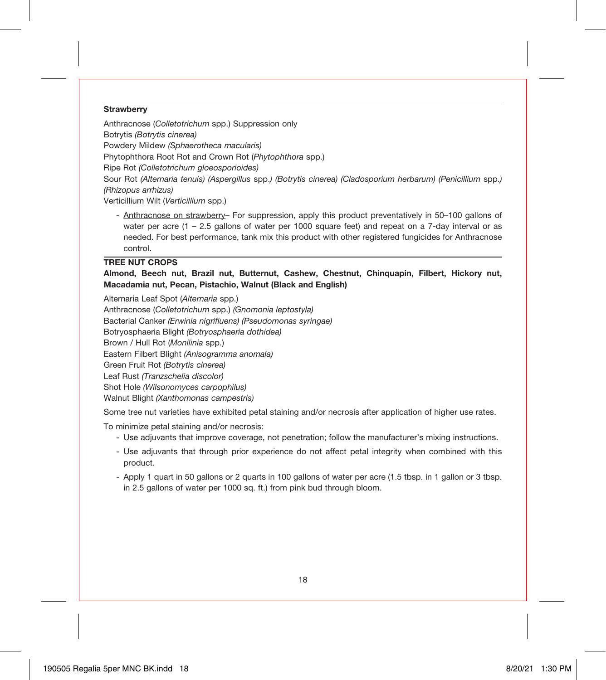#### **Strawberry**

Anthracnose (*Colletotrichum* spp.) Suppression only Botrytis *(Botrytis cinerea)* Powdery Mildew *(Sphaerotheca macularis)* Phytophthora Root Rot and Crown Rot (*Phytophthora* spp.) Ripe Rot *(Colletotrichum gloeosporioides)* Sour Rot *(Alternaria tenuis) (Aspergillus* spp.*) (Botrytis cinerea) (Cladosporium herbarum) (Penicillium* spp.*) (Rhizopus arrhizus)*

Verticillium Wilt (*Verticillium* spp.)

- Anthracnose on strawberry– For suppression, apply this product preventatively in 50–100 gallons of water per acre (1 – 2.5 gallons of water per 1000 square feet) and repeat on a 7-day interval or as needed. For best performance, tank mix this product with other registered fungicides for Anthracnose control.

# **TREE NUT CROPS**

**Almond, Beech nut, Brazil nut, Butternut, Cashew, Chestnut, Chinquapin, Filbert, Hickory nut, Macadamia nut, Pecan, Pistachio, Walnut (Black and English)**

Alternaria Leaf Spot (*Alternaria* spp.)

Anthracnose (*Colletotrichum* spp.) *(Gnomonia leptostyla)* Bacterial Canker *(Erwinia nigrifluens) (Pseudomonas syringae)* Botryosphaeria Blight *(Botryosphaeria dothidea)* Brown / Hull Rot (*Monilinia* spp.) Eastern Filbert Blight *(Anisogramma anomala)* Green Fruit Rot *(Botrytis cinerea)* Leaf Rust *(Tranzschelia discolor)* Shot Hole *(Wilsonomyces carpophilus)* Walnut Blight *(Xanthomonas campestris)*

Some tree nut varieties have exhibited petal staining and/or necrosis after application of higher use rates.

To minimize petal staining and/or necrosis:

- Use adjuvants that improve coverage, not penetration; follow the manufacturer's mixing instructions.
- Use adjuvants that through prior experience do not affect petal integrity when combined with this product.
- Apply 1 quart in 50 gallons or 2 quarts in 100 gallons of water per acre (1.5 tbsp. in 1 gallon or 3 tbsp. in 2.5 gallons of water per 1000 sq. ft.) from pink bud through bloom.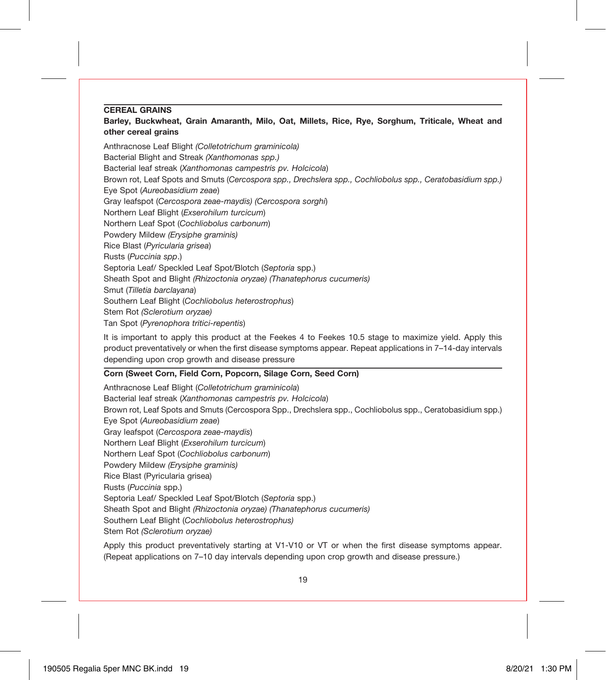#### **CEREAL GRAINS**

#### **Barley, Buckwheat, Grain Amaranth, Milo, Oat, Millets, Rice, Rye, Sorghum, Triticale, Wheat and other cereal grains**

Anthracnose Leaf Blight *(Colletotrichum graminicola)* Bacterial Blight and Streak *(Xanthomonas spp.)* Bacterial leaf streak (*Xanthomonas campestris pv. Holcicola*) Brown rot, Leaf Spots and Smuts (*Cercospora spp., Drechslera spp., Cochliobolus spp., Ceratobasidium spp.)* Eye Spot (*Aureobasidium zeae*) Gray leafspot (*Cercospora zeae-maydis) (Cercospora sorghi*) Northern Leaf Blight (*Exserohilum turcicum*) Northern Leaf Spot (*Cochliobolus carbonum*) Powdery Mildew *(Erysiphe graminis)* Rice Blast (*Pyricularia grisea*) Rusts (*Puccinia spp*.) Septoria Leaf/ Speckled Leaf Spot/Blotch (*Septoria* spp.) Sheath Spot and Blight *(Rhizoctonia oryzae) (Thanatephorus cucumeris)* Smut (*Tilletia barclayana*) Southern Leaf Blight (*Cochliobolus heterostrophus*) Stem Rot *(Sclerotium oryzae)* Tan Spot (*Pyrenophora tritici-repentis*)

It is important to apply this product at the Feekes 4 to Feekes 10.5 stage to maximize yield. Apply this product preventatively or when the first disease symptoms appear. Repeat applications in 7–14-day intervals depending upon crop growth and disease pressure

#### **Corn (Sweet Corn, Field Corn, Popcorn, Silage Corn, Seed Corn)**

Anthracnose Leaf Blight (*Colletotrichum graminicola*) Bacterial leaf streak (*Xanthomonas campestris pv. Holcicola*) Brown rot, Leaf Spots and Smuts (Cercospora Spp., Drechslera spp., Cochliobolus spp., Ceratobasidium spp.) Eye Spot (*Aureobasidium zeae*) Gray leafspot (*Cercospora zeae-maydis*) Northern Leaf Blight (*Exserohilum turcicum*) Northern Leaf Spot (*Cochliobolus carbonum*) Powdery Mildew *(Erysiphe graminis)* Rice Blast (Pyricularia grisea) Rusts (*Puccinia* spp.) Septoria Leaf/ Speckled Leaf Spot/Blotch (*Septoria* spp.) Sheath Spot and Blight *(Rhizoctonia oryzae) (Thanatephorus cucumeris)* Southern Leaf Blight (*Cochliobolus heterostrophus)* Stem Rot *(Sclerotium oryzae)*

Apply this product preventatively starting at V1-V10 or VT or when the first disease symptoms appear. (Repeat applications on 7–10 day intervals depending upon crop growth and disease pressure.)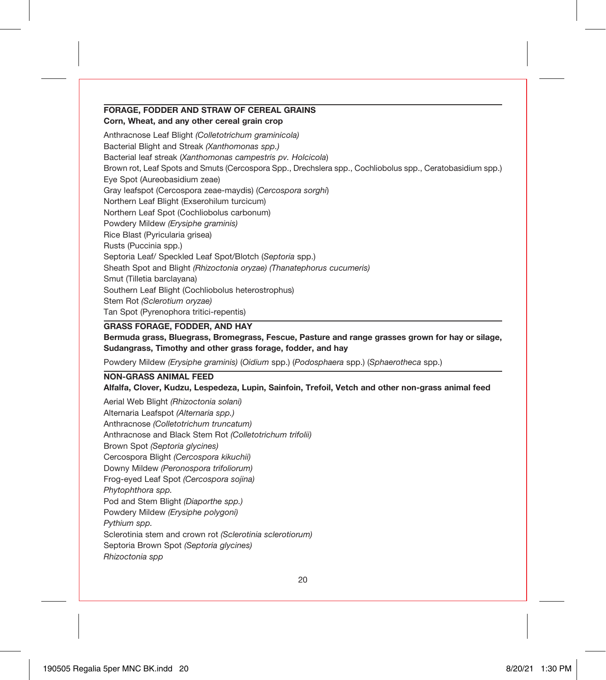# **FORAGE, FODDER AND STRAW OF CEREAL GRAINS**

**Corn, Wheat, and any other cereal grain crop**

Anthracnose Leaf Blight *(Colletotrichum graminicola)* Bacterial Blight and Streak *(Xanthomonas spp.)* Bacterial leaf streak (*Xanthomonas campestris pv. Holcicola*) Brown rot, Leaf Spots and Smuts (Cercospora Spp., Drechslera spp., Cochliobolus spp., Ceratobasidium spp.) Eye Spot (Aureobasidium zeae) Gray leafspot (Cercospora zeae-maydis) (*Cercospora sorghi*) Northern Leaf Blight (Exserohilum turcicum) Northern Leaf Spot (Cochliobolus carbonum) Powdery Mildew *(Erysiphe graminis)* Rice Blast (Pyricularia grisea) Rusts (Puccinia spp.) Septoria Leaf/ Speckled Leaf Spot/Blotch (*Septoria* spp.) Sheath Spot and Blight *(Rhizoctonia oryzae) (Thanatephorus cucumeris)* Smut (Tilletia barclayana) Southern Leaf Blight (Cochliobolus heterostrophus) Stem Rot *(Sclerotium oryzae)* Tan Spot (Pyrenophora tritici-repentis)

#### **GRASS FORAGE, FODDER, AND HAY**

**Bermuda grass, Bluegrass, Bromegrass, Fescue, Pasture and range grasses grown for hay or silage, Sudangrass, Timothy and other grass forage, fodder, and hay**

Powdery Mildew *(Erysiphe graminis)* (*Oidium* spp.) (*Podosphaera* spp.) (*Sphaerotheca* spp.)

#### **NON-GRASS ANIMAL FEED**

**Alfalfa, Clover, Kudzu, Lespedeza, Lupin, Sainfoin, Trefoil, Vetch and other non-grass animal feed**

Aerial Web Blight *(Rhizoctonia solani)* Alternaria Leafspot *(Alternaria spp.)* Anthracnose *(Colletotrichum truncatum)* Anthracnose and Black Stem Rot *(Colletotrichum trifolii)* Brown Spot *(Septoria glycines)* Cercospora Blight *(Cercospora kikuchii)* Downy Mildew *(Peronospora trifoliorum)* Frog-eyed Leaf Spot *(Cercospora sojina) Phytophthora spp.* Pod and Stem Blight *(Diaporthe spp.)* Powdery Mildew *(Erysiphe polygoni) Pythium spp.* Sclerotinia stem and crown rot *(Sclerotinia sclerotiorum)* Septoria Brown Spot *(Septoria glycines) Rhizoctonia spp*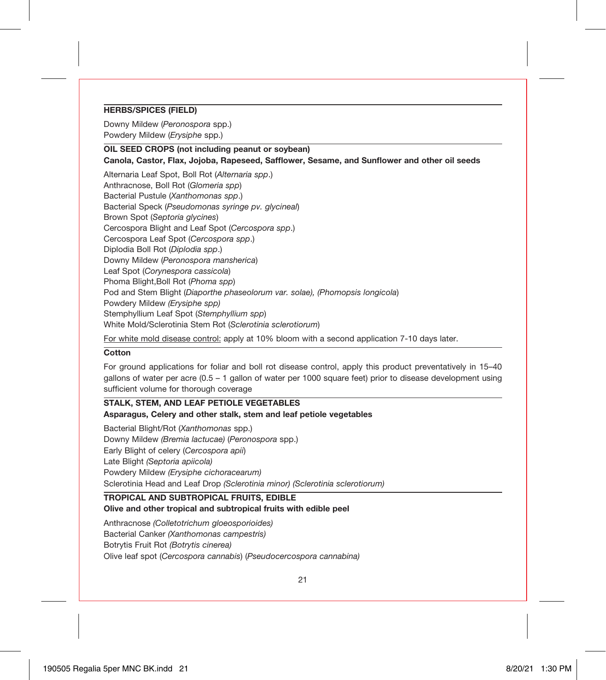#### **HERBS/SPICES (FIELD)**

Downy Mildew (*Peronospora* spp.) Powdery Mildew (*Erysiphe* spp.)

# **OIL SEED CROPS (not including peanut or soybean)**

**Canola, Castor, Flax, Jojoba, Rapeseed, Safflower, Sesame, and Sunflower and other oil seeds**

Alternaria Leaf Spot, Boll Rot (*Alternaria spp*.) Anthracnose, Boll Rot (*Glomeria spp*) Bacterial Pustule (*Xanthomonas spp*.) Bacterial Speck (*Pseudomonas syringe pv. glycineal*) Brown Spot (*Septoria glycines*) Cercospora Blight and Leaf Spot (*Cercospora spp*.) Cercospora Leaf Spot (*Cercospora spp*.) Diplodia Boll Rot (*Diplodia spp*.) Downy Mildew (*Peronospora mansherica*) Leaf Spot (*Corynespora cassicola*) Phoma Blight,Boll Rot (*Phoma spp*) Pod and Stem Blight (*Diaporthe phaseolorum var. solae), (Phomopsis longicola*) Powdery Mildew *(Erysiphe spp)* Stemphyllium Leaf Spot (*Stemphyllium spp*) White Mold/Sclerotinia Stem Rot (*Sclerotinia sclerotiorum*)

For white mold disease control: apply at 10% bloom with a second application 7-10 days later.

#### **Cotton**

For ground applications for foliar and boll rot disease control, apply this product preventatively in 15–40 gallons of water per acre (0.5 – 1 gallon of water per 1000 square feet) prior to disease development using sufficient volume for thorough coverage

#### **STALK, STEM, AND LEAF PETIOLE VEGETABLES Asparagus, Celery and other stalk, stem and leaf petiole vegetables**

Bacterial Blight/Rot (*Xanthomonas* spp.) Downy Mildew *(Bremia lactucae)* (*Peronospora* spp.) Early Blight of celery (*Cercospora apii*) Late Blight *(Septoria apiicola)* Powdery Mildew *(Erysiphe cichoracearum)* Sclerotinia Head and Leaf Drop *(Sclerotinia minor) (Sclerotinia sclerotiorum)*

#### **TROPICAL AND SUBTROPICAL FRUITS, EDIBLE**

#### **Olive and other tropical and subtropical fruits with edible peel**

Anthracnose *(Colletotrichum gloeosporioides)*

Bacterial Canker *(Xanthomonas campestris)*

Botrytis Fruit Rot *(Botrytis cinerea)*

Olive leaf spot (*Cercospora cannabis*) (*Pseudocercospora cannabina)*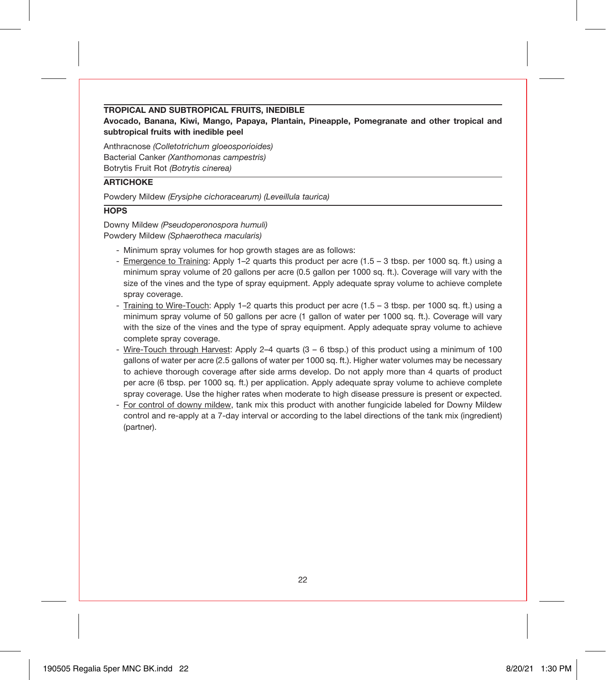#### **TROPICAL AND SUBTROPICAL FRUITS, INEDIBLE**

**Avocado, Banana, Kiwi, Mango, Papaya, Plantain, Pineapple, Pomegranate and other tropical and subtropical fruits with inedible peel**

Anthracnose *(Colletotrichum gloeosporioides)* Bacterial Canker *(Xanthomonas campestris)* Botrytis Fruit Rot *(Botrytis cinerea)*

#### **ARTICHOKE**

Powdery Mildew *(Erysiphe cichoracearum) (Leveillula taurica)*

#### **HOPS**

Downy Mildew *(Pseudoperonospora humuli)* Powdery Mildew *(Sphaerotheca macularis)*

- Minimum spray volumes for hop growth stages are as follows:
- Emergence to Training: Apply 1–2 quarts this product per acre (1.5 3 tbsp. per 1000 sq. ft.) using a minimum spray volume of 20 gallons per acre (0.5 gallon per 1000 sq. ft.). Coverage will vary with the size of the vines and the type of spray equipment. Apply adequate spray volume to achieve complete spray coverage.
- Training to Wire-Touch: Apply 1–2 quarts this product per acre (1.5 3 tbsp. per 1000 sq. ft.) using a minimum spray volume of 50 gallons per acre (1 gallon of water per 1000 sq. ft.). Coverage will vary with the size of the vines and the type of spray equipment. Apply adequate spray volume to achieve complete spray coverage.
- Wire-Touch through Harvest: Apply 2–4 quarts (3 6 tbsp.) of this product using a minimum of 100 gallons of water per acre (2.5 gallons of water per 1000 sq. ft.). Higher water volumes may be necessary to achieve thorough coverage after side arms develop. Do not apply more than 4 quarts of product per acre (6 tbsp. per 1000 sq. ft.) per application. Apply adequate spray volume to achieve complete spray coverage. Use the higher rates when moderate to high disease pressure is present or expected.
- For control of downy mildew, tank mix this product with another fungicide labeled for Downy Mildew control and re-apply at a 7-day interval or according to the label directions of the tank mix (ingredient) (partner).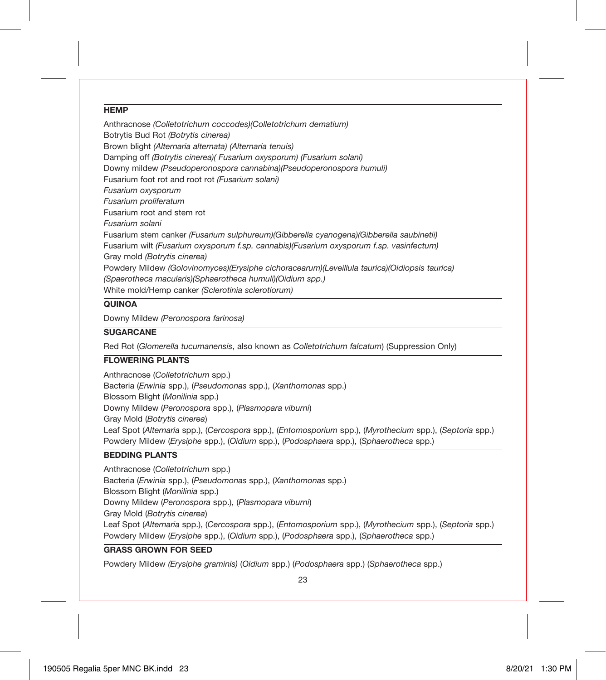#### **HEMP**

Anthracnose *(Colletotrichum coccodes)(Colletotrichum dematium)* Botrytis Bud Rot *(Botrytis cinerea)* Brown blight *(Alternaria alternata) (Alternaria tenuis)* Damping off *(Botrytis cinerea)( Fusarium oxysporum) (Fusarium solani)* Downy mildew *(Pseudoperonospora cannabina)(Pseudoperonospora humuli)* Fusarium foot rot and root rot *(Fusarium solani) Fusarium oxysporum Fusarium proliferatum* Fusarium root and stem rot *Fusarium solani* Fusarium stem canker *(Fusarium sulphureum)(Gibberella cyanogena)(Gibberella saubinetii)* Fusarium wilt *(Fusarium oxysporum f.sp. cannabis)(Fusarium oxysporum f.sp. vasinfectum)* Gray mold *(Botrytis cinerea)* Powdery Mildew *(Golovinomyces)(Erysiphe cichoracearum)(Leveillula taurica)(Oidiopsis taurica) (Spaerotheca macularis)(Sphaerotheca humuli)(Oidium spp.)* White mold/Hemp canker *(Sclerotinia sclerotiorum)*

#### **QUINOA**

Downy Mildew *(Peronospora farinosa)*

# **SUGARCANE**

Red Rot (*Glomerella tucumanensis*, also known as *Colletotrichum falcatum*) (Suppression Only)

#### **FLOWERING PLANTS**

Anthracnose (*Colletotrichum* spp.) Bacteria (*Erwinia* spp.), (*Pseudomonas* spp.), (*Xanthomonas* spp.) Blossom Blight (*Monilinia* spp.) Downy Mildew (*Peronospora* spp.), (*Plasmopara viburni*) Gray Mold (*Botrytis cinerea*) Leaf Spot (*Alternaria* spp.), (*Cercospora* spp.), (*Entomosporium* spp.), (*Myrothecium* spp.), (*Septoria* spp.) Powdery Mildew (*Erysiphe* spp.), (*Oidium* spp.), (*Podosphaera* spp.), (*Sphaerotheca* spp.)

# **BEDDING PLANTS**

Anthracnose (*Colletotrichum* spp.) Bacteria (*Erwinia* spp.), (*Pseudomonas* spp.), (*Xanthomonas* spp.) Blossom Blight (*Monilinia* spp.) Downy Mildew (*Peronospora* spp.), (*Plasmopara viburni*) Gray Mold (*Botrytis cinerea*) Leaf Spot (*Alternaria* spp.), (*Cercospora* spp.), (*Entomosporium* spp.), (*Myrothecium* spp.), (*Septoria* spp.) Powdery Mildew (*Erysiphe* spp.), (*Oidium* spp.), (*Podosphaera* spp.), (*Sphaerotheca* spp.) **GRASS GROWN FOR SEED**

Powdery Mildew *(Erysiphe graminis)* (*Oidium* spp.) (*Podosphaera* spp.) (*Sphaerotheca* spp.)

23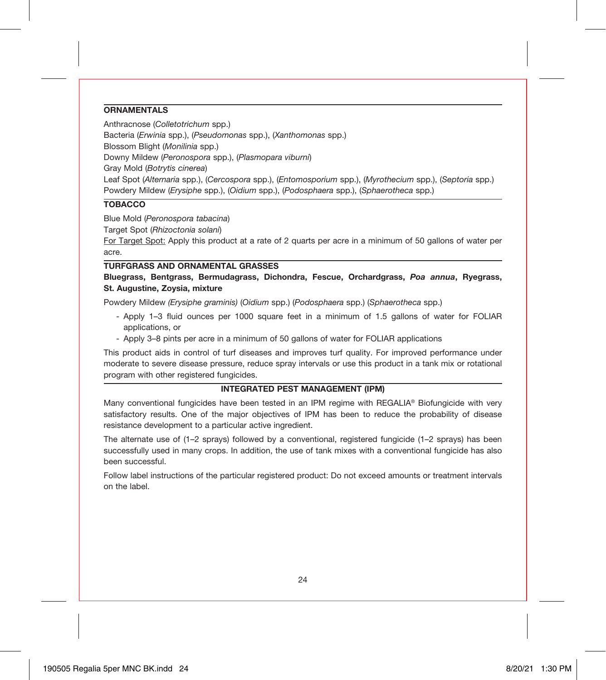#### **ORNAMENTALS**

Anthracnose (*Colletotrichum* spp.) Bacteria (*Erwinia* spp.), (*Pseudomonas* spp.), (*Xanthomonas* spp.)

Blossom Blight (*Monilinia* spp.)

Downy Mildew (*Peronospora* spp.), (*Plasmopara viburni*)

Gray Mold (*Botrytis cinerea*)

Leaf Spot (*Alternaria* spp.), (*Cercospora* spp.), (*Entomosporium* spp.), (*Myrothecium* spp.), (*Septoria* spp.) Powdery Mildew (*Erysiphe* spp.), (*Oidium* spp.), (*Podosphaera* spp.), (*Sphaerotheca* spp.)

# **TOBACCO**

Blue Mold (*Peronospora tabacina*)

Target Spot (*Rhizoctonia solani*)

For Target Spot: Apply this product at a rate of 2 quarts per acre in a minimum of 50 gallons of water per acre.

#### **TURFGRASS AND ORNAMENTAL GRASSES**

#### **Bluegrass, Bentgrass, Bermudagrass, Dichondra, Fescue, Orchardgrass,** *Poa annua***, Ryegrass, St. Augustine, Zoysia, mixture**

Powdery Mildew *(Erysiphe graminis)* (*Oidium* spp.) (*Podosphaera* spp.) (*Sphaerotheca* spp.)

- Apply 1–3 fluid ounces per 1000 square feet in a minimum of 1.5 gallons of water for FOLIAR applications, or
- Apply 3–8 pints per acre in a minimum of 50 gallons of water for FOLIAR applications

This product aids in control of turf diseases and improves turf quality. For improved performance under moderate to severe disease pressure, reduce spray intervals or use this product in a tank mix or rotational program with other registered fungicides.

#### **INTEGRATED PEST MANAGEMENT (IPM)**

Many conventional fungicides have been tested in an IPM regime with REGALIA® Biofungicide with very satisfactory results. One of the major objectives of IPM has been to reduce the probability of disease resistance development to a particular active ingredient.

The alternate use of (1–2 sprays) followed by a conventional, registered fungicide (1–2 sprays) has been successfully used in many crops. In addition, the use of tank mixes with a conventional fungicide has also been successful.

Follow label instructions of the particular registered product: Do not exceed amounts or treatment intervals on the label.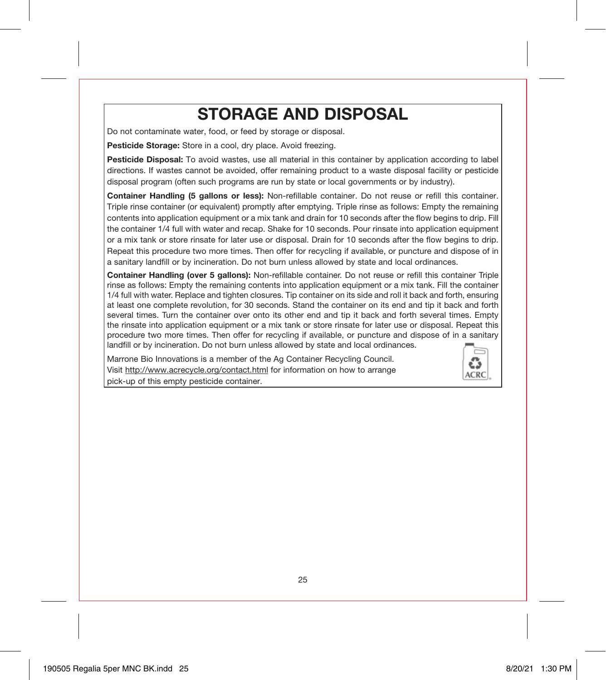# **STORAGE AND DISPOSAL**

Do not contaminate water, food, or feed by storage or disposal.

**Pesticide Storage:** Store in a cool, dry place. Avoid freezing.

**Pesticide Disposal:** To avoid wastes, use all material in this container by application according to label directions. If wastes cannot be avoided, offer remaining product to a waste disposal facility or pesticide disposal program (often such programs are run by state or local governments or by industry).

**Container Handling (5 gallons or less):** Non-refillable container. Do not reuse or refill this container. Triple rinse container (or equivalent) promptly after emptying. Triple rinse as follows: Empty the remaining contents into application equipment or a mix tank and drain for 10 seconds after the flow begins to drip. Fill the container 1/4 full with water and recap. Shake for 10 seconds. Pour rinsate into application equipment or a mix tank or store rinsate for later use or disposal. Drain for 10 seconds after the flow begins to drip. Repeat this procedure two more times. Then offer for recycling if available, or puncture and dispose of in a sanitary landfill or by incineration. Do not burn unless allowed by state and local ordinances.

**Container Handling (over 5 gallons):** Non-refillable container. Do not reuse or refill this container Triple rinse as follows: Empty the remaining contents into application equipment or a mix tank. Fill the container 1/4 full with water. Replace and tighten closures. Tip container on its side and roll it back and forth, ensuring at least one complete revolution, for 30 seconds. Stand the container on its end and tip it back and forth several times. Turn the container over onto its other end and tip it back and forth several times. Empty the rinsate into application equipment or a mix tank or store rinsate for later use or disposal. Repeat this procedure two more times. Then offer for recycling if available, or puncture and dispose of in a sanitary landfill or by incineration. Do not burn unless allowed by state and local ordinances.

Marrone Bio Innovations is a member of the Ag Container Recycling Council. Visit http://www.acrecycle.org/contact.html for information on how to arrange pick-up of this empty pesticide container.

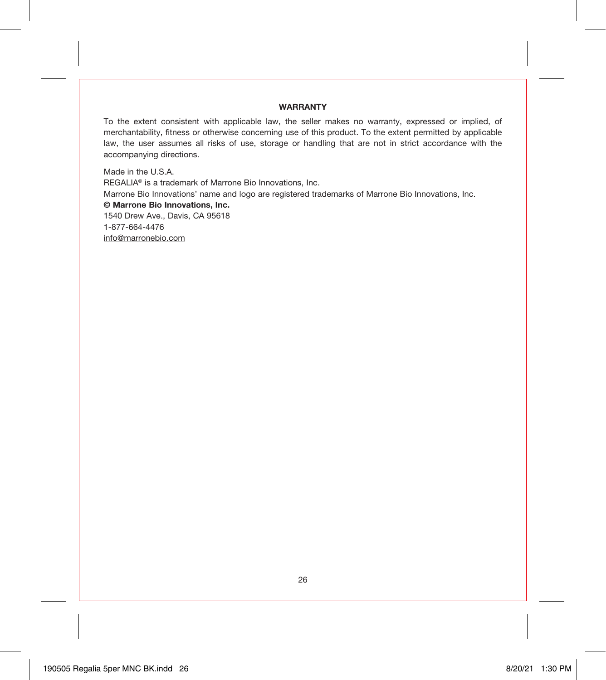### **WARRANTY**

To the extent consistent with applicable law, the seller makes no warranty, expressed or implied, of merchantability, fitness or otherwise concerning use of this product. To the extent permitted by applicable law, the user assumes all risks of use, storage or handling that are not in strict accordance with the accompanying directions.

Made in the U.S.A. REGALIA® is a trademark of Marrone Bio Innovations, Inc. Marrone Bio Innovations' name and logo are registered trademarks of Marrone Bio Innovations, Inc. **© Marrone Bio Innovations, Inc.** 1540 Drew Ave., Davis, CA 95618 1-877-664-4476 info@marronebio.com